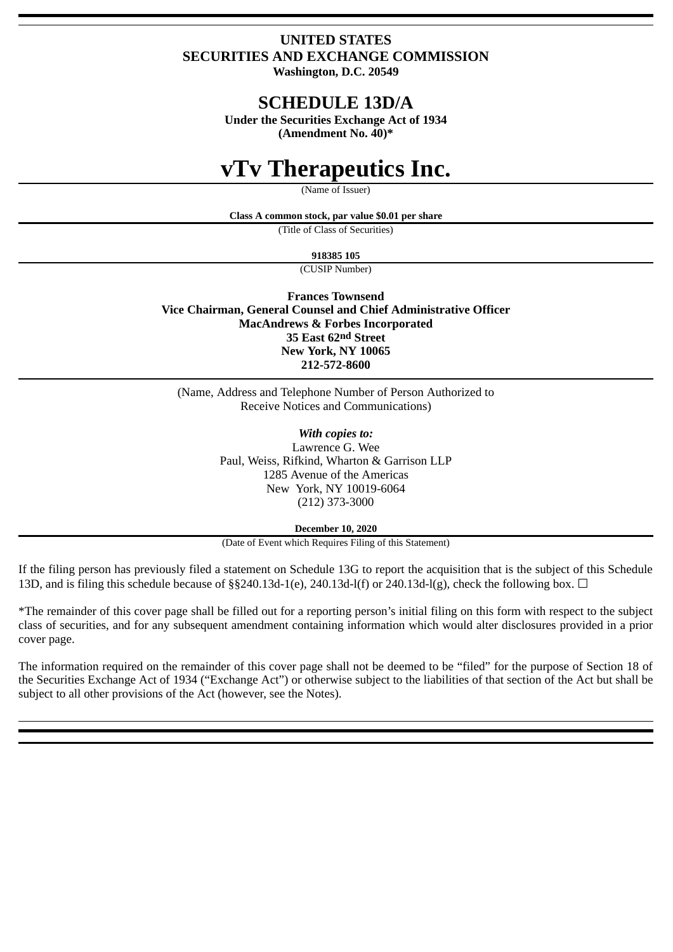# **UNITED STATES SECURITIES AND EXCHANGE COMMISSION**

**Washington, D.C. 20549**

# **SCHEDULE 13D/A**

**Under the Securities Exchange Act of 1934 (Amendment No. 40)\***

# **vTv Therapeutics Inc.**

(Name of Issuer)

**Class A common stock, par value \$0.01 per share**

(Title of Class of Securities)

**918385 105**

(CUSIP Number)

**Frances Townsend Vice Chairman, General Counsel and Chief Administrative Officer MacAndrews & Forbes Incorporated 35 East 62nd Street New York, NY 10065 212-572-8600**

(Name, Address and Telephone Number of Person Authorized to Receive Notices and Communications)

> *With copies to:* Lawrence G. Wee Paul, Weiss, Rifkind, Wharton & Garrison LLP 1285 Avenue of the Americas New York, NY 10019-6064 (212) 373-3000

> > **December 10, 2020**

(Date of Event which Requires Filing of this Statement)

If the filing person has previously filed a statement on Schedule 13G to report the acquisition that is the subject of this Schedule 13D, and is filing this schedule because of §§240.13d-1(e), 240.13d-l(f) or 240.13d-l(g), check the following box.  $\Box$ 

\*The remainder of this cover page shall be filled out for a reporting person's initial filing on this form with respect to the subject class of securities, and for any subsequent amendment containing information which would alter disclosures provided in a prior cover page.

The information required on the remainder of this cover page shall not be deemed to be "filed" for the purpose of Section 18 of the Securities Exchange Act of 1934 ("Exchange Act") or otherwise subject to the liabilities of that section of the Act but shall be subject to all other provisions of the Act (however, see the Notes).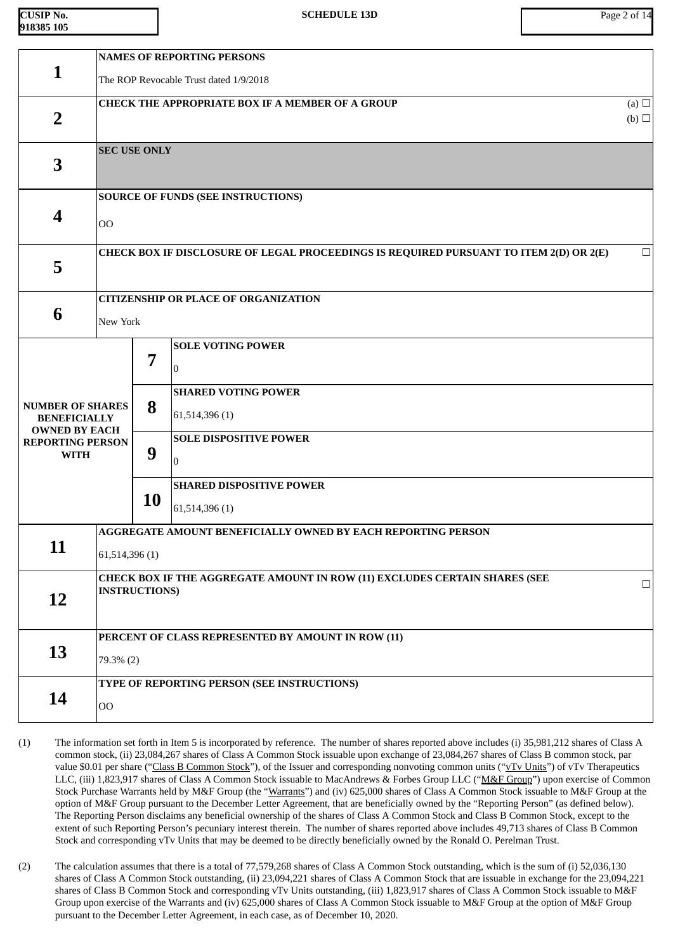| <b>CUSIP No.</b> |  |
|------------------|--|
| 918385 105       |  |

|                                                                        |                                                    |                                                                                                              | <b>NAMES OF REPORTING PERSONS</b>                                                      |            |  |  |  |
|------------------------------------------------------------------------|----------------------------------------------------|--------------------------------------------------------------------------------------------------------------|----------------------------------------------------------------------------------------|------------|--|--|--|
| 1                                                                      |                                                    | The ROP Revocable Trust dated 1/9/2018                                                                       |                                                                                        |            |  |  |  |
|                                                                        |                                                    |                                                                                                              | <b>CHECK THE APPROPRIATE BOX IF A MEMBER OF A GROUP</b>                                | (a) $\Box$ |  |  |  |
| $\overline{2}$                                                         |                                                    |                                                                                                              |                                                                                        | (b)        |  |  |  |
|                                                                        | <b>SEC USE ONLY</b>                                |                                                                                                              |                                                                                        |            |  |  |  |
| 3                                                                      |                                                    |                                                                                                              |                                                                                        |            |  |  |  |
|                                                                        |                                                    |                                                                                                              | <b>SOURCE OF FUNDS (SEE INSTRUCTIONS)</b>                                              |            |  |  |  |
| 4                                                                      | O <sub>O</sub>                                     |                                                                                                              |                                                                                        |            |  |  |  |
|                                                                        |                                                    |                                                                                                              | CHECK BOX IF DISCLOSURE OF LEGAL PROCEEDINGS IS REQUIRED PURSUANT TO ITEM 2(D) OR 2(E) | $\Box$     |  |  |  |
| 5                                                                      |                                                    |                                                                                                              |                                                                                        |            |  |  |  |
|                                                                        |                                                    |                                                                                                              | <b>CITIZENSHIP OR PLACE OF ORGANIZATION</b>                                            |            |  |  |  |
| 6                                                                      |                                                    | New York                                                                                                     |                                                                                        |            |  |  |  |
|                                                                        |                                                    |                                                                                                              | <b>SOLE VOTING POWER</b>                                                               |            |  |  |  |
|                                                                        |                                                    | 7                                                                                                            | 10                                                                                     |            |  |  |  |
|                                                                        |                                                    |                                                                                                              | <b>SHARED VOTING POWER</b>                                                             |            |  |  |  |
| <b>NUMBER OF SHARES</b><br><b>BENEFICIALLY</b><br><b>OWNED BY EACH</b> | 8                                                  |                                                                                                              | 61,514,396 (1)                                                                         |            |  |  |  |
| <b>REPORTING PERSON</b>                                                |                                                    |                                                                                                              | <b>SOLE DISPOSITIVE POWER</b>                                                          |            |  |  |  |
| <b>WITH</b>                                                            |                                                    | 9                                                                                                            | $\overline{0}$                                                                         |            |  |  |  |
|                                                                        |                                                    |                                                                                                              | <b>SHARED DISPOSITIVE POWER</b>                                                        |            |  |  |  |
|                                                                        |                                                    | <b>10</b>                                                                                                    | 61,514,396(1)                                                                          |            |  |  |  |
|                                                                        |                                                    |                                                                                                              | AGGREGATE AMOUNT BENEFICIALLY OWNED BY EACH REPORTING PERSON                           |            |  |  |  |
| 11                                                                     | 61,514,396(1)                                      |                                                                                                              |                                                                                        |            |  |  |  |
|                                                                        |                                                    | CHECK BOX IF THE AGGREGATE AMOUNT IN ROW (11) EXCLUDES CERTAIN SHARES (SEE<br>$\Box$<br><b>INSTRUCTIONS)</b> |                                                                                        |            |  |  |  |
| <b>12</b>                                                              |                                                    |                                                                                                              |                                                                                        |            |  |  |  |
|                                                                        |                                                    |                                                                                                              |                                                                                        |            |  |  |  |
| 13                                                                     | PERCENT OF CLASS REPRESENTED BY AMOUNT IN ROW (11) |                                                                                                              |                                                                                        |            |  |  |  |
|                                                                        |                                                    | 79.3% (2)                                                                                                    |                                                                                        |            |  |  |  |
|                                                                        |                                                    |                                                                                                              | TYPE OF REPORTING PERSON (SEE INSTRUCTIONS)                                            |            |  |  |  |
| 14                                                                     | $_{\rm OO}$                                        |                                                                                                              |                                                                                        |            |  |  |  |

- (1) The information set forth in Item 5 is incorporated by reference. The number of shares reported above includes (i) 35,981,212 shares of Class A common stock, (ii) 23,084,267 shares of Class A Common Stock issuable upon exchange of 23,084,267 shares of Class B common stock, par value \$0.01 per share ("Class B Common Stock"), of the Issuer and corresponding nonvoting common units (" $yTv$  Units") of vTv Therapeutics LLC, (iii) 1,823,917 shares of Class A Common Stock issuable to MacAndrews & Forbes Group LLC ("M&F Group") upon exercise of Common Stock Purchase Warrants held by M&F Group (the "Warrants") and (iv) 625,000 shares of Class A Common Stock issuable to M&F Group at the option of M&F Group pursuant to the December Letter Agreement, that are beneficially owned by the "Reporting Person" (as defined below). The Reporting Person disclaims any beneficial ownership of the shares of Class A Common Stock and Class B Common Stock, except to the extent of such Reporting Person's pecuniary interest therein. The number of shares reported above includes 49,713 shares of Class B Common Stock and corresponding vTv Units that may be deemed to be directly beneficially owned by the Ronald O. Perelman Trust.
- (2) The calculation assumes that there is a total of 77,579,268 shares of Class A Common Stock outstanding, which is the sum of (i) 52,036,130 shares of Class A Common Stock outstanding, (ii) 23,094,221 shares of Class A Common Stock that are issuable in exchange for the 23,094,221 shares of Class B Common Stock and corresponding vTv Units outstanding, (iii) 1,823,917 shares of Class A Common Stock issuable to M&F Group upon exercise of the Warrants and (iv) 625,000 shares of Class A Common Stock issuable to M&F Group at the option of M&F Group pursuant to the December Letter Agreement, in each case, as of December 10, 2020.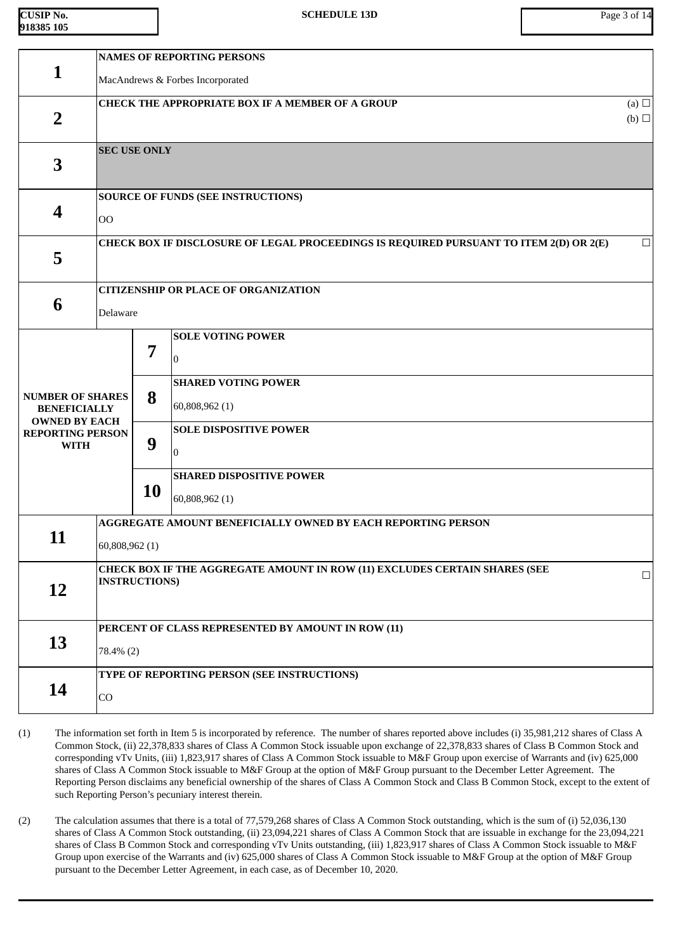| <b>CUSIP No.</b> |  |
|------------------|--|
| 918385 105       |  |

|                                             | <b>NAMES OF REPORTING PERSONS</b>                       |                                                                                                              |                                                                                        |        |  |  |  |
|---------------------------------------------|---------------------------------------------------------|--------------------------------------------------------------------------------------------------------------|----------------------------------------------------------------------------------------|--------|--|--|--|
| 1                                           |                                                         | MacAndrews & Forbes Incorporated                                                                             |                                                                                        |        |  |  |  |
| $\overline{2}$                              | <b>CHECK THE APPROPRIATE BOX IF A MEMBER OF A GROUP</b> |                                                                                                              |                                                                                        |        |  |  |  |
|                                             |                                                         |                                                                                                              |                                                                                        | (b)    |  |  |  |
| 3                                           |                                                         | <b>SEC USE ONLY</b>                                                                                          |                                                                                        |        |  |  |  |
|                                             |                                                         |                                                                                                              | <b>SOURCE OF FUNDS (SEE INSTRUCTIONS)</b>                                              |        |  |  |  |
| 4                                           | O <sub>O</sub>                                          |                                                                                                              |                                                                                        |        |  |  |  |
| 5                                           |                                                         |                                                                                                              | CHECK BOX IF DISCLOSURE OF LEGAL PROCEEDINGS IS REQUIRED PURSUANT TO ITEM 2(D) OR 2(E) | $\Box$ |  |  |  |
|                                             |                                                         |                                                                                                              |                                                                                        |        |  |  |  |
| 6                                           |                                                         |                                                                                                              | <b>CITIZENSHIP OR PLACE OF ORGANIZATION</b>                                            |        |  |  |  |
|                                             | Delaware                                                |                                                                                                              |                                                                                        |        |  |  |  |
|                                             |                                                         | 7                                                                                                            | <b>SOLE VOTING POWER</b>                                                               |        |  |  |  |
|                                             |                                                         |                                                                                                              | $\overline{0}$                                                                         |        |  |  |  |
| <b>NUMBER OF SHARES</b>                     |                                                         | 8                                                                                                            | <b>SHARED VOTING POWER</b>                                                             |        |  |  |  |
| <b>BENEFICIALLY</b><br><b>OWNED BY EACH</b> |                                                         |                                                                                                              | 60,808,962 (1)                                                                         |        |  |  |  |
| <b>REPORTING PERSON</b><br><b>WITH</b>      |                                                         | 9                                                                                                            | <b>SOLE DISPOSITIVE POWER</b>                                                          |        |  |  |  |
|                                             |                                                         |                                                                                                              | $\overline{0}$                                                                         |        |  |  |  |
|                                             |                                                         |                                                                                                              | <b>SHARED DISPOSITIVE POWER</b>                                                        |        |  |  |  |
|                                             |                                                         | <b>10</b>                                                                                                    | 60,808,962 (1)                                                                         |        |  |  |  |
| 11                                          |                                                         |                                                                                                              | AGGREGATE AMOUNT BENEFICIALLY OWNED BY EACH REPORTING PERSON                           |        |  |  |  |
|                                             | 60,808,962 (1)                                          |                                                                                                              |                                                                                        |        |  |  |  |
|                                             |                                                         | CHECK BOX IF THE AGGREGATE AMOUNT IN ROW (11) EXCLUDES CERTAIN SHARES (SEE<br>$\Box$<br><b>INSTRUCTIONS)</b> |                                                                                        |        |  |  |  |
| 12                                          |                                                         |                                                                                                              |                                                                                        |        |  |  |  |
|                                             |                                                         |                                                                                                              | PERCENT OF CLASS REPRESENTED BY AMOUNT IN ROW (11)                                     |        |  |  |  |
| 13                                          | 78.4% (2)                                               |                                                                                                              |                                                                                        |        |  |  |  |
|                                             |                                                         |                                                                                                              | TYPE OF REPORTING PERSON (SEE INSTRUCTIONS)                                            |        |  |  |  |
| 14                                          | CO                                                      |                                                                                                              |                                                                                        |        |  |  |  |

- (1) The information set forth in Item 5 is incorporated by reference. The number of shares reported above includes (i) 35,981,212 shares of Class A Common Stock, (ii) 22,378,833 shares of Class A Common Stock issuable upon exchange of 22,378,833 shares of Class B Common Stock and corresponding vTv Units, (iii) 1,823,917 shares of Class A Common Stock issuable to M&F Group upon exercise of Warrants and (iv) 625,000 shares of Class A Common Stock issuable to M&F Group at the option of M&F Group pursuant to the December Letter Agreement. The Reporting Person disclaims any beneficial ownership of the shares of Class A Common Stock and Class B Common Stock, except to the extent of such Reporting Person's pecuniary interest therein.
- (2) The calculation assumes that there is a total of 77,579,268 shares of Class A Common Stock outstanding, which is the sum of (i) 52,036,130 shares of Class A Common Stock outstanding, (ii) 23,094,221 shares of Class A Common Stock that are issuable in exchange for the 23,094,221 shares of Class B Common Stock and corresponding vTv Units outstanding, (iii) 1,823,917 shares of Class A Common Stock issuable to M&F Group upon exercise of the Warrants and (iv) 625,000 shares of Class A Common Stock issuable to M&F Group at the option of M&F Group pursuant to the December Letter Agreement, in each case, as of December 10, 2020.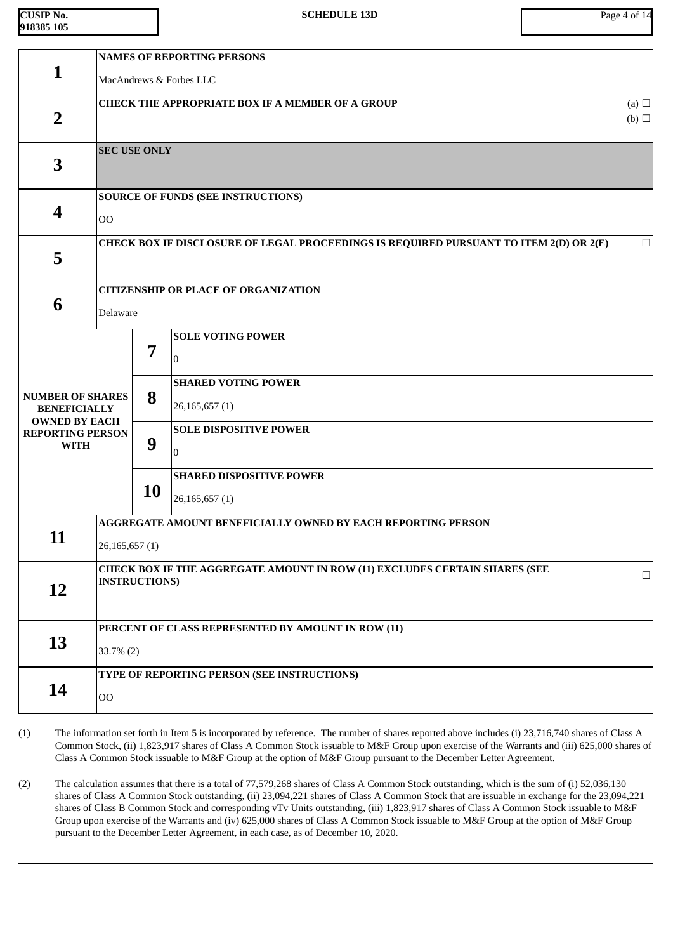| <b>CUSIP No.</b> |  |
|------------------|--|
| 918385 105       |  |

|                                                                        | <b>NAMES OF REPORTING PERSONS</b> |                                                                                                              |                                                                                        |                 |  |  |  |
|------------------------------------------------------------------------|-----------------------------------|--------------------------------------------------------------------------------------------------------------|----------------------------------------------------------------------------------------|-----------------|--|--|--|
| $\mathbf{1}$                                                           |                                   | MacAndrews & Forbes LLC                                                                                      |                                                                                        |                 |  |  |  |
|                                                                        |                                   |                                                                                                              | <b>CHECK THE APPROPRIATE BOX IF A MEMBER OF A GROUP</b>                                | (a) $\Box$      |  |  |  |
| $\overline{2}$                                                         |                                   |                                                                                                              |                                                                                        | $(b)$ $\square$ |  |  |  |
|                                                                        | <b>SEC USE ONLY</b>               |                                                                                                              |                                                                                        |                 |  |  |  |
| 3                                                                      |                                   |                                                                                                              |                                                                                        |                 |  |  |  |
|                                                                        |                                   |                                                                                                              | <b>SOURCE OF FUNDS (SEE INSTRUCTIONS)</b>                                              |                 |  |  |  |
| 4                                                                      | 00                                |                                                                                                              |                                                                                        |                 |  |  |  |
|                                                                        |                                   |                                                                                                              | CHECK BOX IF DISCLOSURE OF LEGAL PROCEEDINGS IS REQUIRED PURSUANT TO ITEM 2(D) OR 2(E) | $\Box$          |  |  |  |
| 5                                                                      |                                   |                                                                                                              |                                                                                        |                 |  |  |  |
|                                                                        |                                   |                                                                                                              | <b>CITIZENSHIP OR PLACE OF ORGANIZATION</b>                                            |                 |  |  |  |
| 6                                                                      | Delaware                          |                                                                                                              |                                                                                        |                 |  |  |  |
|                                                                        |                                   |                                                                                                              | <b>SOLE VOTING POWER</b>                                                               |                 |  |  |  |
|                                                                        | 7                                 |                                                                                                              | n                                                                                      |                 |  |  |  |
|                                                                        |                                   |                                                                                                              | <b>SHARED VOTING POWER</b>                                                             |                 |  |  |  |
| <b>NUMBER OF SHARES</b><br><b>BENEFICIALLY</b><br><b>OWNED BY EACH</b> | 8                                 |                                                                                                              | 26,165,657(1)                                                                          |                 |  |  |  |
| <b>REPORTING PERSON</b>                                                |                                   |                                                                                                              | <b>SOLE DISPOSITIVE POWER</b>                                                          |                 |  |  |  |
| <b>WITH</b>                                                            |                                   | 9                                                                                                            | l0                                                                                     |                 |  |  |  |
|                                                                        |                                   |                                                                                                              | <b>SHARED DISPOSITIVE POWER</b>                                                        |                 |  |  |  |
|                                                                        |                                   | <b>10</b>                                                                                                    | 26,165,657(1)                                                                          |                 |  |  |  |
|                                                                        |                                   |                                                                                                              | AGGREGATE AMOUNT BENEFICIALLY OWNED BY EACH REPORTING PERSON                           |                 |  |  |  |
| 11                                                                     | 26,165,657(1)                     |                                                                                                              |                                                                                        |                 |  |  |  |
|                                                                        |                                   | CHECK BOX IF THE AGGREGATE AMOUNT IN ROW (11) EXCLUDES CERTAIN SHARES (SEE<br>$\Box$<br><b>INSTRUCTIONS)</b> |                                                                                        |                 |  |  |  |
| 12                                                                     |                                   |                                                                                                              |                                                                                        |                 |  |  |  |
|                                                                        |                                   |                                                                                                              | PERCENT OF CLASS REPRESENTED BY AMOUNT IN ROW (11)                                     |                 |  |  |  |
| 13                                                                     | 33.7% (2)                         |                                                                                                              |                                                                                        |                 |  |  |  |
|                                                                        |                                   |                                                                                                              |                                                                                        |                 |  |  |  |
| 14                                                                     |                                   |                                                                                                              | TYPE OF REPORTING PERSON (SEE INSTRUCTIONS)                                            |                 |  |  |  |
|                                                                        | <b>OO</b>                         |                                                                                                              |                                                                                        |                 |  |  |  |

- (1) The information set forth in Item 5 is incorporated by reference. The number of shares reported above includes (i) 23,716,740 shares of Class A Common Stock, (ii) 1,823,917 shares of Class A Common Stock issuable to M&F Group upon exercise of the Warrants and (iii) 625,000 shares of Class A Common Stock issuable to M&F Group at the option of M&F Group pursuant to the December Letter Agreement.
- (2) The calculation assumes that there is a total of 77,579,268 shares of Class A Common Stock outstanding, which is the sum of (i) 52,036,130 shares of Class A Common Stock outstanding, (ii) 23,094,221 shares of Class A Common Stock that are issuable in exchange for the 23,094,221 shares of Class B Common Stock and corresponding vTv Units outstanding, (iii) 1,823,917 shares of Class A Common Stock issuable to M&F Group upon exercise of the Warrants and (iv) 625,000 shares of Class A Common Stock issuable to M&F Group at the option of M&F Group pursuant to the December Letter Agreement, in each case, as of December 10, 2020.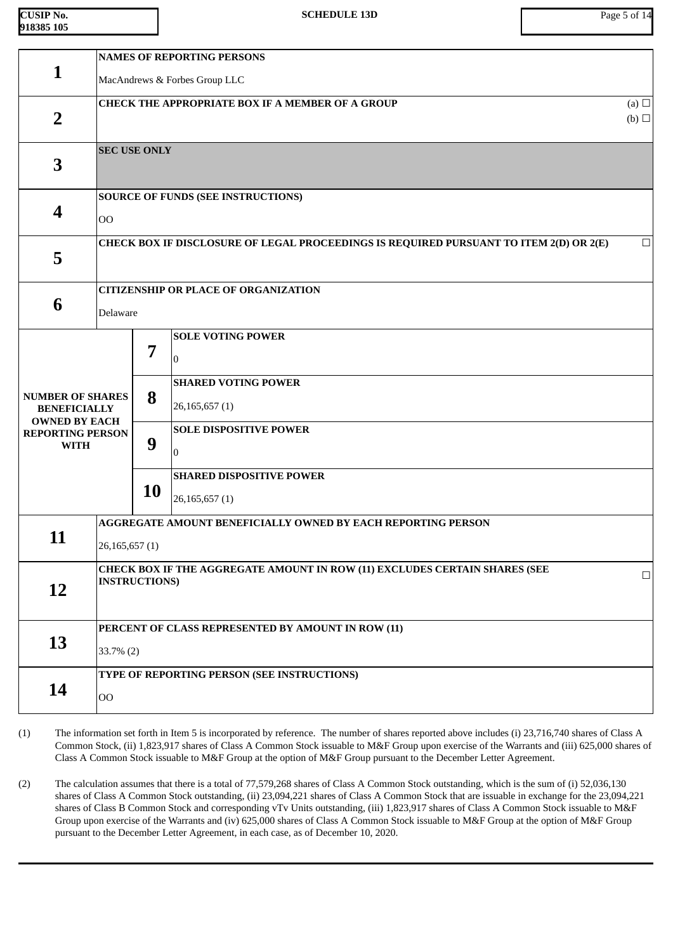| CUSIP No.   |  |
|-------------|--|
| 1918385 105 |  |

|                                                 | <b>NAMES OF REPORTING PERSONS</b>                       |                                                    |                                                                                        |                   |  |  |
|-------------------------------------------------|---------------------------------------------------------|----------------------------------------------------|----------------------------------------------------------------------------------------|-------------------|--|--|
| 1                                               |                                                         | MacAndrews & Forbes Group LLC                      |                                                                                        |                   |  |  |
| $\overline{2}$                                  | <b>CHECK THE APPROPRIATE BOX IF A MEMBER OF A GROUP</b> |                                                    |                                                                                        | (a) $\Box$<br>(b) |  |  |
|                                                 |                                                         |                                                    |                                                                                        |                   |  |  |
| 3                                               | <b>SEC USE ONLY</b>                                     |                                                    |                                                                                        |                   |  |  |
|                                                 |                                                         |                                                    |                                                                                        |                   |  |  |
|                                                 |                                                         |                                                    | <b>SOURCE OF FUNDS (SEE INSTRUCTIONS)</b>                                              |                   |  |  |
| 4                                               | O <sub>O</sub>                                          |                                                    |                                                                                        |                   |  |  |
|                                                 |                                                         |                                                    | CHECK BOX IF DISCLOSURE OF LEGAL PROCEEDINGS IS REQUIRED PURSUANT TO ITEM 2(D) OR 2(E) | $\Box$            |  |  |
| 5                                               |                                                         |                                                    |                                                                                        |                   |  |  |
|                                                 |                                                         |                                                    | <b>CITIZENSHIP OR PLACE OF ORGANIZATION</b>                                            |                   |  |  |
| 6                                               | Delaware                                                |                                                    |                                                                                        |                   |  |  |
|                                                 |                                                         |                                                    | <b>SOLE VOTING POWER</b>                                                               |                   |  |  |
|                                                 |                                                         | 7                                                  | 0                                                                                      |                   |  |  |
|                                                 |                                                         |                                                    | <b>SHARED VOTING POWER</b>                                                             |                   |  |  |
| <b>NUMBER OF SHARES</b><br><b>BENEFICIALLY</b>  |                                                         | 8                                                  | 26,165,657(1)                                                                          |                   |  |  |
| <b>OWNED BY EACH</b><br><b>REPORTING PERSON</b> |                                                         |                                                    | <b>SOLE DISPOSITIVE POWER</b>                                                          |                   |  |  |
| <b>WITH</b>                                     |                                                         | 9                                                  | 0                                                                                      |                   |  |  |
|                                                 |                                                         |                                                    | <b>SHARED DISPOSITIVE POWER</b>                                                        |                   |  |  |
|                                                 |                                                         | <b>10</b>                                          | 26,165,657(1)                                                                          |                   |  |  |
|                                                 |                                                         |                                                    | AGGREGATE AMOUNT BENEFICIALLY OWNED BY EACH REPORTING PERSON                           |                   |  |  |
| 11                                              | 26,165,657(1)                                           |                                                    |                                                                                        |                   |  |  |
|                                                 |                                                         |                                                    | CHECK BOX IF THE AGGREGATE AMOUNT IN ROW (11) EXCLUDES CERTAIN SHARES (SEE             | $\Box$            |  |  |
| 12                                              |                                                         | <b>INSTRUCTIONS)</b>                               |                                                                                        |                   |  |  |
|                                                 |                                                         |                                                    |                                                                                        |                   |  |  |
| 13                                              |                                                         | PERCENT OF CLASS REPRESENTED BY AMOUNT IN ROW (11) |                                                                                        |                   |  |  |
|                                                 |                                                         | $33.7\%$ (2)                                       |                                                                                        |                   |  |  |
| 14                                              |                                                         |                                                    | TYPE OF REPORTING PERSON (SEE INSTRUCTIONS)                                            |                   |  |  |
|                                                 | $\overline{O}O$                                         |                                                    |                                                                                        |                   |  |  |

- (1) The information set forth in Item 5 is incorporated by reference. The number of shares reported above includes (i) 23,716,740 shares of Class A Common Stock, (ii) 1,823,917 shares of Class A Common Stock issuable to M&F Group upon exercise of the Warrants and (iii) 625,000 shares of Class A Common Stock issuable to M&F Group at the option of M&F Group pursuant to the December Letter Agreement.
- (2) The calculation assumes that there is a total of 77,579,268 shares of Class A Common Stock outstanding, which is the sum of (i) 52,036,130 shares of Class A Common Stock outstanding, (ii) 23,094,221 shares of Class A Common Stock that are issuable in exchange for the 23,094,221 shares of Class B Common Stock and corresponding vTv Units outstanding, (iii) 1,823,917 shares of Class A Common Stock issuable to M&F Group upon exercise of the Warrants and (iv) 625,000 shares of Class A Common Stock issuable to M&F Group at the option of M&F Group pursuant to the December Letter Agreement, in each case, as of December 10, 2020.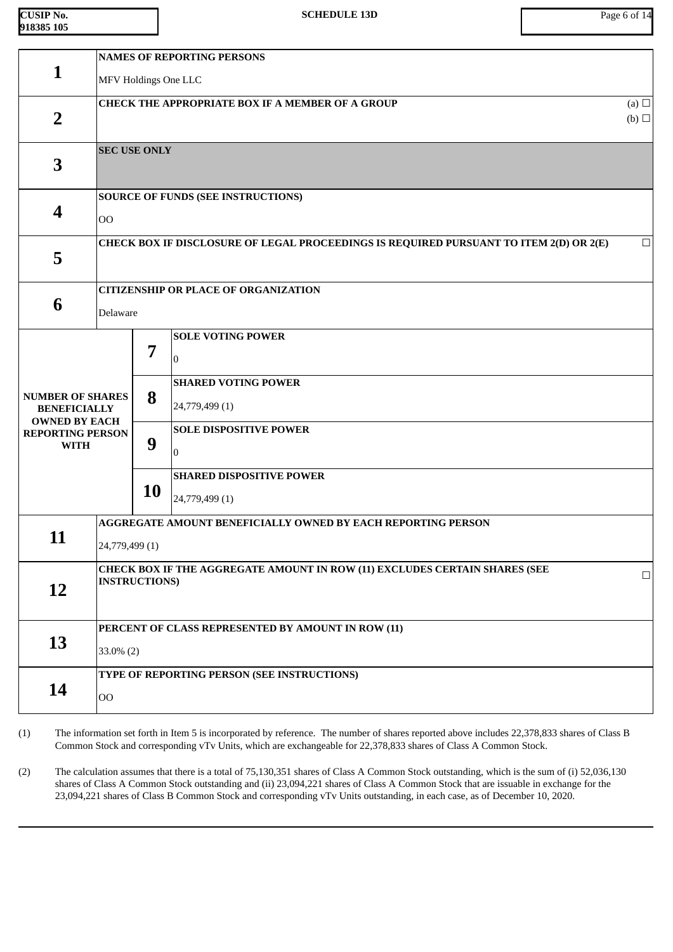| <b>CUSIP No.</b> |  |
|------------------|--|
| 918385 105       |  |

|                                                 |                     | <b>NAMES OF REPORTING PERSONS</b>                  |                                                                                        |                 |  |  |  |
|-------------------------------------------------|---------------------|----------------------------------------------------|----------------------------------------------------------------------------------------|-----------------|--|--|--|
| $\mathbf{1}$                                    |                     | MFV Holdings One LLC                               |                                                                                        |                 |  |  |  |
|                                                 |                     |                                                    | <b>CHECK THE APPROPRIATE BOX IF A MEMBER OF A GROUP</b>                                | (a) $\Box$      |  |  |  |
| $\overline{2}$                                  |                     |                                                    |                                                                                        | $(b)$ $\square$ |  |  |  |
|                                                 | <b>SEC USE ONLY</b> |                                                    |                                                                                        |                 |  |  |  |
| 3                                               |                     |                                                    |                                                                                        |                 |  |  |  |
|                                                 |                     |                                                    | <b>SOURCE OF FUNDS (SEE INSTRUCTIONS)</b>                                              |                 |  |  |  |
| 4                                               | 00                  |                                                    |                                                                                        |                 |  |  |  |
|                                                 |                     |                                                    | CHECK BOX IF DISCLOSURE OF LEGAL PROCEEDINGS IS REQUIRED PURSUANT TO ITEM 2(D) OR 2(E) | $\Box$          |  |  |  |
| 5                                               |                     |                                                    |                                                                                        |                 |  |  |  |
|                                                 |                     |                                                    |                                                                                        |                 |  |  |  |
| 6                                               |                     |                                                    | <b>CITIZENSHIP OR PLACE OF ORGANIZATION</b>                                            |                 |  |  |  |
|                                                 | Delaware            |                                                    |                                                                                        |                 |  |  |  |
|                                                 |                     | 7                                                  | <b>SOLE VOTING POWER</b>                                                               |                 |  |  |  |
|                                                 |                     |                                                    | 0                                                                                      |                 |  |  |  |
|                                                 |                     |                                                    | <b>SHARED VOTING POWER</b>                                                             |                 |  |  |  |
| <b>NUMBER OF SHARES</b><br><b>BENEFICIALLY</b>  |                     | 8                                                  | 24,779,499 (1)                                                                         |                 |  |  |  |
| <b>OWNED BY EACH</b><br><b>REPORTING PERSON</b> |                     |                                                    | <b>SOLE DISPOSITIVE POWER</b>                                                          |                 |  |  |  |
| <b>WITH</b>                                     | 9                   | 0                                                  |                                                                                        |                 |  |  |  |
|                                                 |                     |                                                    | <b>SHARED DISPOSITIVE POWER</b>                                                        |                 |  |  |  |
|                                                 |                     | <b>10</b>                                          | 24,779,499 (1)                                                                         |                 |  |  |  |
|                                                 |                     |                                                    | AGGREGATE AMOUNT BENEFICIALLY OWNED BY EACH REPORTING PERSON                           |                 |  |  |  |
| 11                                              | 24,779,499 (1)      |                                                    |                                                                                        |                 |  |  |  |
|                                                 |                     |                                                    | CHECK BOX IF THE AGGREGATE AMOUNT IN ROW (11) EXCLUDES CERTAIN SHARES (SEE             | $\Box$          |  |  |  |
| 12                                              |                     | <b>INSTRUCTIONS)</b>                               |                                                                                        |                 |  |  |  |
|                                                 |                     |                                                    |                                                                                        |                 |  |  |  |
|                                                 |                     | PERCENT OF CLASS REPRESENTED BY AMOUNT IN ROW (11) |                                                                                        |                 |  |  |  |
| 13                                              |                     | $33.0\%$ (2)                                       |                                                                                        |                 |  |  |  |
|                                                 |                     |                                                    | TYPE OF REPORTING PERSON (SEE INSTRUCTIONS)                                            |                 |  |  |  |
| 14                                              | $00\,$              |                                                    |                                                                                        |                 |  |  |  |

(1) The information set forth in Item 5 is incorporated by reference. The number of shares reported above includes 22,378,833 shares of Class B Common Stock and corresponding vTv Units, which are exchangeable for 22,378,833 shares of Class A Common Stock.

(2) The calculation assumes that there is a total of 75,130,351 shares of Class A Common Stock outstanding, which is the sum of (i) 52,036,130 shares of Class A Common Stock outstanding and (ii) 23,094,221 shares of Class A Common Stock that are issuable in exchange for the 23,094,221 shares of Class B Common Stock and corresponding vTv Units outstanding, in each case, as of December 10, 2020.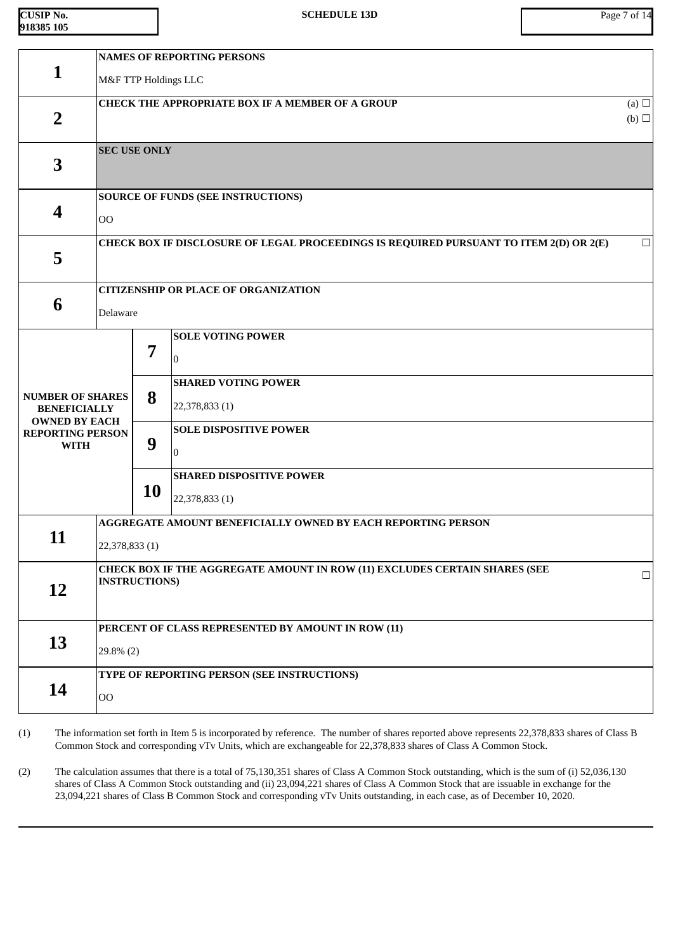| $CUSIP$ No. |  |
|-------------|--|
| 918385 105  |  |

|                                                 | <b>NAMES OF REPORTING PERSONS</b> |                                                                            |                                                                                        |                 |  |  |  |
|-------------------------------------------------|-----------------------------------|----------------------------------------------------------------------------|----------------------------------------------------------------------------------------|-----------------|--|--|--|
| $\mathbf{1}$                                    |                                   | M&F TTP Holdings LLC                                                       |                                                                                        |                 |  |  |  |
|                                                 |                                   |                                                                            | <b>CHECK THE APPROPRIATE BOX IF A MEMBER OF A GROUP</b>                                | (a) $\Box$      |  |  |  |
| $\overline{2}$                                  |                                   |                                                                            |                                                                                        | $(b)$ $\square$ |  |  |  |
|                                                 | <b>SEC USE ONLY</b>               |                                                                            |                                                                                        |                 |  |  |  |
| 3                                               |                                   |                                                                            |                                                                                        |                 |  |  |  |
|                                                 |                                   |                                                                            | <b>SOURCE OF FUNDS (SEE INSTRUCTIONS)</b>                                              |                 |  |  |  |
| 4                                               | O <sub>O</sub>                    |                                                                            |                                                                                        |                 |  |  |  |
|                                                 |                                   |                                                                            | CHECK BOX IF DISCLOSURE OF LEGAL PROCEEDINGS IS REQUIRED PURSUANT TO ITEM 2(D) OR 2(E) | $\Box$          |  |  |  |
| 5                                               |                                   |                                                                            |                                                                                        |                 |  |  |  |
|                                                 |                                   |                                                                            | <b>CITIZENSHIP OR PLACE OF ORGANIZATION</b>                                            |                 |  |  |  |
| 6                                               | Delaware                          |                                                                            |                                                                                        |                 |  |  |  |
|                                                 |                                   |                                                                            | <b>SOLE VOTING POWER</b>                                                               |                 |  |  |  |
|                                                 |                                   | 7                                                                          | $\Omega$                                                                               |                 |  |  |  |
|                                                 |                                   |                                                                            | <b>SHARED VOTING POWER</b>                                                             |                 |  |  |  |
| <b>NUMBER OF SHARES</b><br><b>BENEFICIALLY</b>  |                                   | 8                                                                          | 22,378,833 (1)                                                                         |                 |  |  |  |
| <b>OWNED BY EACH</b><br><b>REPORTING PERSON</b> |                                   |                                                                            | <b>SOLE DISPOSITIVE POWER</b>                                                          |                 |  |  |  |
| <b>WITH</b>                                     | 9                                 |                                                                            | M                                                                                      |                 |  |  |  |
|                                                 |                                   |                                                                            | <b>SHARED DISPOSITIVE POWER</b>                                                        |                 |  |  |  |
|                                                 | 10                                |                                                                            | 22,378,833 (1)                                                                         |                 |  |  |  |
|                                                 |                                   |                                                                            | AGGREGATE AMOUNT BENEFICIALLY OWNED BY EACH REPORTING PERSON                           |                 |  |  |  |
| 11                                              |                                   | 22,378,833(1)                                                              |                                                                                        |                 |  |  |  |
|                                                 |                                   | CHECK BOX IF THE AGGREGATE AMOUNT IN ROW (11) EXCLUDES CERTAIN SHARES (SEE |                                                                                        |                 |  |  |  |
| 12                                              |                                   | <b>INSTRUCTIONS)</b>                                                       |                                                                                        |                 |  |  |  |
|                                                 |                                   |                                                                            |                                                                                        |                 |  |  |  |
| 13                                              |                                   | PERCENT OF CLASS REPRESENTED BY AMOUNT IN ROW (11)                         |                                                                                        |                 |  |  |  |
|                                                 |                                   | 29.8% (2)                                                                  |                                                                                        |                 |  |  |  |
| 14                                              |                                   |                                                                            | TYPE OF REPORTING PERSON (SEE INSTRUCTIONS)                                            |                 |  |  |  |
|                                                 | $00\,$                            |                                                                            |                                                                                        |                 |  |  |  |

(1) The information set forth in Item 5 is incorporated by reference. The number of shares reported above represents 22,378,833 shares of Class B Common Stock and corresponding vTv Units, which are exchangeable for 22,378,833 shares of Class A Common Stock.

(2) The calculation assumes that there is a total of 75,130,351 shares of Class A Common Stock outstanding, which is the sum of (i) 52,036,130 shares of Class A Common Stock outstanding and (ii) 23,094,221 shares of Class A Common Stock that are issuable in exchange for the 23,094,221 shares of Class B Common Stock and corresponding vTv Units outstanding, in each case, as of December 10, 2020.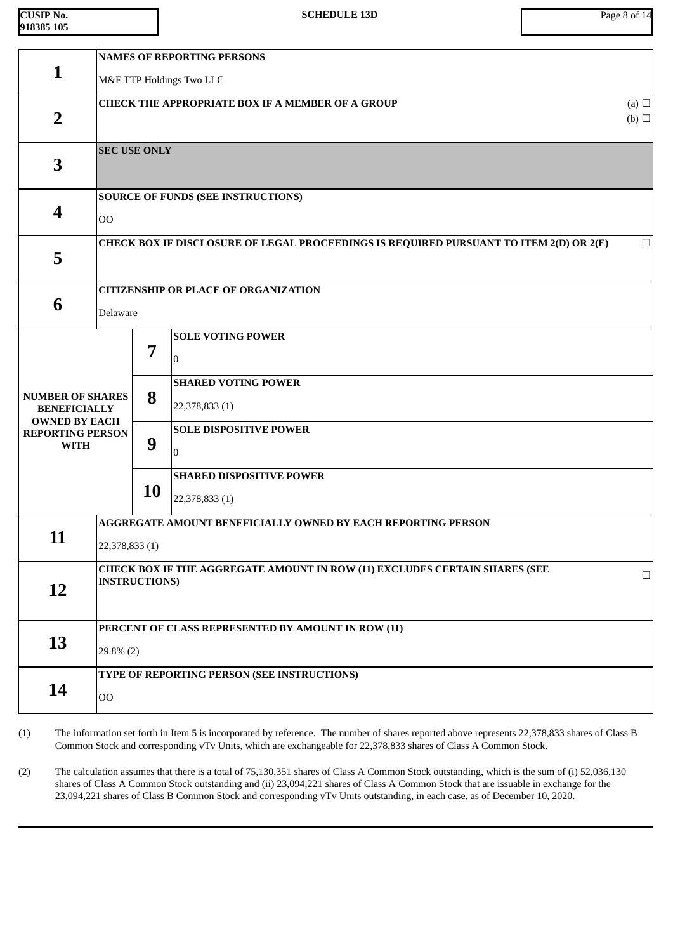| <b>CUSIP No.</b> |  |
|------------------|--|
| 918385 105       |  |

|                                                                                                   | <b>NAMES OF REPORTING PERSONS</b>                                                                            |                                                                                          |                                                                                                                             |  |  |
|---------------------------------------------------------------------------------------------------|--------------------------------------------------------------------------------------------------------------|------------------------------------------------------------------------------------------|-----------------------------------------------------------------------------------------------------------------------------|--|--|
| 1                                                                                                 | M&F TTP Holdings Two LLC                                                                                     |                                                                                          |                                                                                                                             |  |  |
| $\overline{2}$                                                                                    |                                                                                                              | <b>CHECK THE APPROPRIATE BOX IF A MEMBER OF A GROUP</b><br>(a) $\Box$<br>$(b)$ $\square$ |                                                                                                                             |  |  |
| 3                                                                                                 | <b>SEC USE ONLY</b>                                                                                          |                                                                                          |                                                                                                                             |  |  |
| $\boldsymbol{4}$                                                                                  | <b>SOURCE OF FUNDS (SEE INSTRUCTIONS)</b><br>$00\,$                                                          |                                                                                          |                                                                                                                             |  |  |
| 5                                                                                                 | CHECK BOX IF DISCLOSURE OF LEGAL PROCEEDINGS IS REQUIRED PURSUANT TO ITEM 2(D) OR 2(E)<br>$\Box$             |                                                                                          |                                                                                                                             |  |  |
| 6                                                                                                 | <b>CITIZENSHIP OR PLACE OF ORGANIZATION</b><br>Delaware                                                      |                                                                                          |                                                                                                                             |  |  |
| <b>NUMBER OF SHARES</b><br><b>BENEFICIALLY</b><br><b>OWNED BY EACH</b><br><b>REPORTING PERSON</b> |                                                                                                              | 7<br>8                                                                                   | <b>SOLE VOTING POWER</b><br>$\overline{0}$<br><b>SHARED VOTING POWER</b><br>22,378,833 (1)<br><b>SOLE DISPOSITIVE POWER</b> |  |  |
| <b>WITH</b>                                                                                       |                                                                                                              | 9<br>10                                                                                  | $\overline{0}$<br><b>SHARED DISPOSITIVE POWER</b><br>22,378,833 (1)                                                         |  |  |
| 11                                                                                                | <b>AGGREGATE AMOUNT BENEFICIALLY OWNED BY EACH REPORTING PERSON</b><br>22,378,833(1)                         |                                                                                          |                                                                                                                             |  |  |
| 12                                                                                                | CHECK BOX IF THE AGGREGATE AMOUNT IN ROW (11) EXCLUDES CERTAIN SHARES (SEE<br>$\Box$<br><b>INSTRUCTIONS)</b> |                                                                                          |                                                                                                                             |  |  |
| 13                                                                                                | PERCENT OF CLASS REPRESENTED BY AMOUNT IN ROW (11)<br>29.8% (2)                                              |                                                                                          |                                                                                                                             |  |  |
| 14                                                                                                | TYPE OF REPORTING PERSON (SEE INSTRUCTIONS)<br>O <sub>O</sub>                                                |                                                                                          |                                                                                                                             |  |  |

(1) The information set forth in Item 5 is incorporated by reference. The number of shares reported above represents 22,378,833 shares of Class B Common Stock and corresponding vTv Units, which are exchangeable for 22,378,833 shares of Class A Common Stock.

(2) The calculation assumes that there is a total of 75,130,351 shares of Class A Common Stock outstanding, which is the sum of (i) 52,036,130 shares of Class A Common Stock outstanding and (ii) 23,094,221 shares of Class A Common Stock that are issuable in exchange for the 23,094,221 shares of Class B Common Stock and corresponding vTv Units outstanding, in each case, as of December 10, 2020.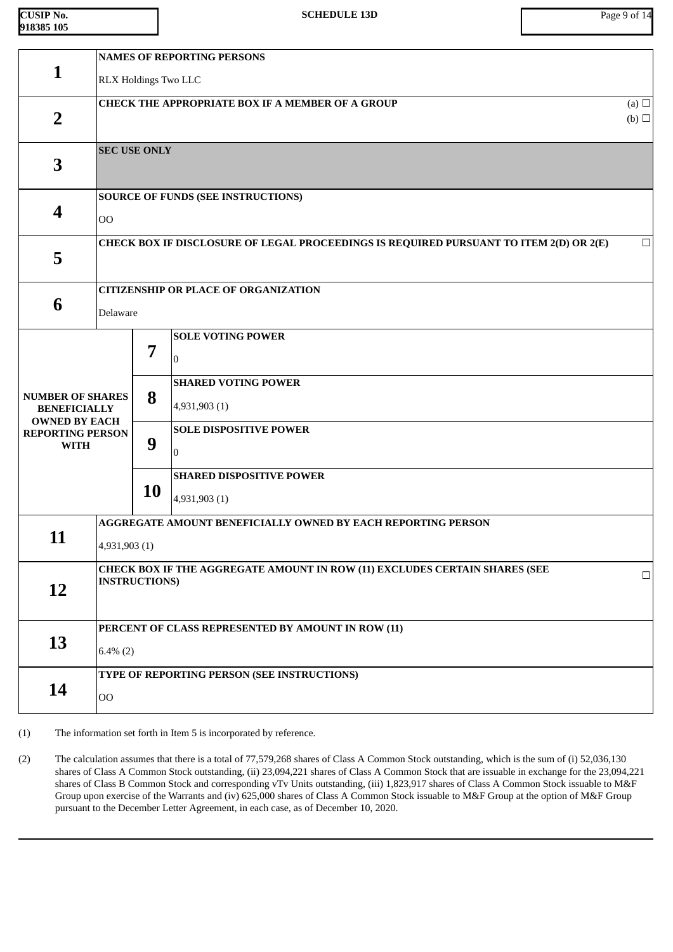| CUSIP No.   |  |
|-------------|--|
| 1918385 105 |  |

|                                                         | <b>NAMES OF REPORTING PERSONS</b>                             |                                                                                                              |                                                                                        |                 |  |  |  |
|---------------------------------------------------------|---------------------------------------------------------------|--------------------------------------------------------------------------------------------------------------|----------------------------------------------------------------------------------------|-----------------|--|--|--|
| $\mathbf{1}$                                            | RLX Holdings Two LLC                                          |                                                                                                              |                                                                                        |                 |  |  |  |
| <b>CHECK THE APPROPRIATE BOX IF A MEMBER OF A GROUP</b> |                                                               |                                                                                                              | (a) $\Box$                                                                             |                 |  |  |  |
| $\overline{2}$                                          |                                                               |                                                                                                              |                                                                                        | $(b)$ $\square$ |  |  |  |
|                                                         | <b>SEC USE ONLY</b>                                           |                                                                                                              |                                                                                        |                 |  |  |  |
| 3                                                       |                                                               |                                                                                                              |                                                                                        |                 |  |  |  |
|                                                         | <b>SOURCE OF FUNDS (SEE INSTRUCTIONS)</b>                     |                                                                                                              |                                                                                        |                 |  |  |  |
| 4                                                       | <b>OO</b>                                                     |                                                                                                              |                                                                                        |                 |  |  |  |
|                                                         |                                                               |                                                                                                              | CHECK BOX IF DISCLOSURE OF LEGAL PROCEEDINGS IS REQUIRED PURSUANT TO ITEM 2(D) OR 2(E) | $\Box$          |  |  |  |
| 5                                                       |                                                               |                                                                                                              |                                                                                        |                 |  |  |  |
|                                                         | <b>CITIZENSHIP OR PLACE OF ORGANIZATION</b>                   |                                                                                                              |                                                                                        |                 |  |  |  |
| 6                                                       | Delaware                                                      |                                                                                                              |                                                                                        |                 |  |  |  |
|                                                         |                                                               |                                                                                                              | <b>SOLE VOTING POWER</b>                                                               |                 |  |  |  |
|                                                         |                                                               | 7                                                                                                            |                                                                                        |                 |  |  |  |
|                                                         |                                                               |                                                                                                              | <b>SHARED VOTING POWER</b>                                                             |                 |  |  |  |
| <b>NUMBER OF SHARES</b><br><b>BENEFICIALLY</b>          | 8<br>9                                                        |                                                                                                              | 4,931,903 (1)                                                                          |                 |  |  |  |
| <b>OWNED BY EACH</b><br><b>REPORTING PERSON</b>         |                                                               |                                                                                                              | <b>SOLE DISPOSITIVE POWER</b>                                                          |                 |  |  |  |
| <b>WITH</b>                                             |                                                               |                                                                                                              |                                                                                        |                 |  |  |  |
|                                                         |                                                               |                                                                                                              | <b>SHARED DISPOSITIVE POWER</b>                                                        |                 |  |  |  |
|                                                         |                                                               | <b>10</b>                                                                                                    | 4,931,903 (1)                                                                          |                 |  |  |  |
|                                                         |                                                               |                                                                                                              | AGGREGATE AMOUNT BENEFICIALLY OWNED BY EACH REPORTING PERSON                           |                 |  |  |  |
| 11                                                      | 4,931,903 (1)                                                 |                                                                                                              |                                                                                        |                 |  |  |  |
|                                                         |                                                               | CHECK BOX IF THE AGGREGATE AMOUNT IN ROW (11) EXCLUDES CERTAIN SHARES (SEE<br>$\Box$<br><b>INSTRUCTIONS)</b> |                                                                                        |                 |  |  |  |
| <b>12</b>                                               |                                                               |                                                                                                              |                                                                                        |                 |  |  |  |
|                                                         |                                                               |                                                                                                              | PERCENT OF CLASS REPRESENTED BY AMOUNT IN ROW (11)                                     |                 |  |  |  |
| 13                                                      | $6.4\%(2)$                                                    |                                                                                                              |                                                                                        |                 |  |  |  |
|                                                         |                                                               |                                                                                                              |                                                                                        |                 |  |  |  |
| 14                                                      | TYPE OF REPORTING PERSON (SEE INSTRUCTIONS)<br>O <sub>O</sub> |                                                                                                              |                                                                                        |                 |  |  |  |
|                                                         |                                                               |                                                                                                              |                                                                                        |                 |  |  |  |

(1) The information set forth in Item 5 is incorporated by reference.

(2) The calculation assumes that there is a total of 77,579,268 shares of Class A Common Stock outstanding, which is the sum of (i) 52,036,130 shares of Class A Common Stock outstanding, (ii) 23,094,221 shares of Class A Common Stock that are issuable in exchange for the 23,094,221 shares of Class B Common Stock and corresponding vTv Units outstanding, (iii) 1,823,917 shares of Class A Common Stock issuable to M&F Group upon exercise of the Warrants and (iv) 625,000 shares of Class A Common Stock issuable to M&F Group at the option of M&F Group pursuant to the December Letter Agreement, in each case, as of December 10, 2020.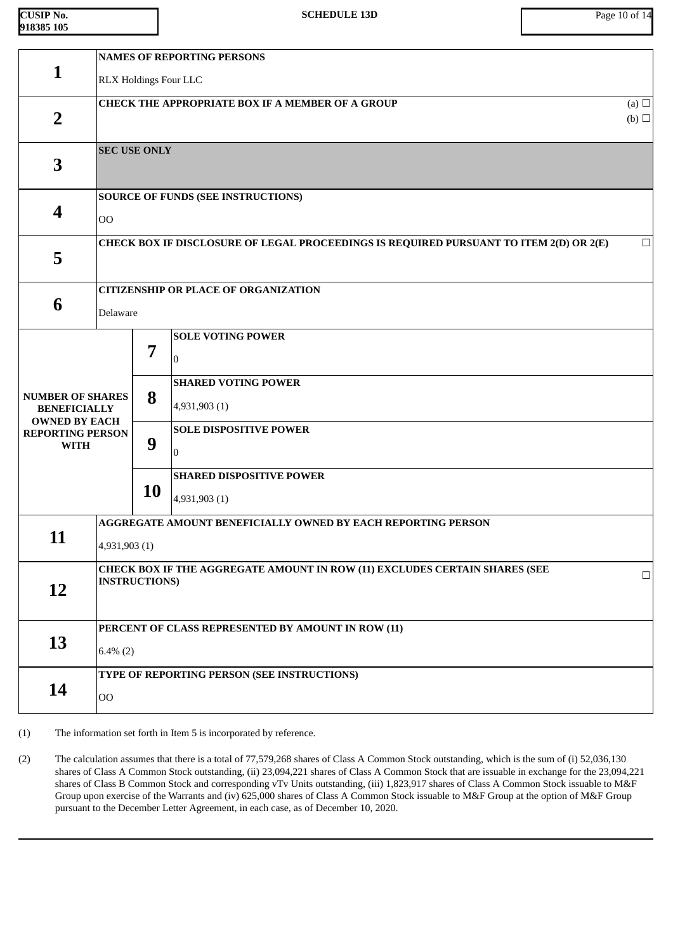| <b>CUSIP No.</b> |  |
|------------------|--|
| 918385 105       |  |

| RLX Holdings Four LLC<br>CHECK THE APPROPRIATE BOX IF A MEMBER OF A GROUP<br>(a) $\Box$<br>$\overline{2}$<br>$(b)$ $\square$<br><b>SEC USE ONLY</b><br>3<br><b>SOURCE OF FUNDS (SEE INSTRUCTIONS)</b><br>4<br><b>OO</b><br>CHECK BOX IF DISCLOSURE OF LEGAL PROCEEDINGS IS REQUIRED PURSUANT TO ITEM 2(D) OR 2(E)<br>$\Box$<br>5<br><b>CITIZENSHIP OR PLACE OF ORGANIZATION</b><br>6<br>Delaware<br><b>SOLE VOTING POWER</b><br>7<br>0<br><b>SHARED VOTING POWER</b><br>8<br><b>NUMBER OF SHARES</b><br>4,931,903 (1)<br><b>BENEFICIALLY</b><br><b>OWNED BY EACH</b><br><b>SOLE DISPOSITIVE POWER</b><br><b>REPORTING PERSON</b><br>9<br><b>WITH</b><br>l0<br><b>SHARED DISPOSITIVE POWER</b><br>10<br>4,931,903 (1)<br>AGGREGATE AMOUNT BENEFICIALLY OWNED BY EACH REPORTING PERSON<br>11<br>4,931,903 (1)<br>CHECK BOX IF THE AGGREGATE AMOUNT IN ROW (11) EXCLUDES CERTAIN SHARES (SEE<br>$\Box$<br><b>INSTRUCTIONS)</b><br>12<br>PERCENT OF CLASS REPRESENTED BY AMOUNT IN ROW (11)<br>13<br>$6.4\%(2)$<br>TYPE OF REPORTING PERSON (SEE INSTRUCTIONS)<br>14<br>$00\,$ |              | <b>NAMES OF REPORTING PERSONS</b> |  |  |  |  |  |
|----------------------------------------------------------------------------------------------------------------------------------------------------------------------------------------------------------------------------------------------------------------------------------------------------------------------------------------------------------------------------------------------------------------------------------------------------------------------------------------------------------------------------------------------------------------------------------------------------------------------------------------------------------------------------------------------------------------------------------------------------------------------------------------------------------------------------------------------------------------------------------------------------------------------------------------------------------------------------------------------------------------------------------------------------------------------------|--------------|-----------------------------------|--|--|--|--|--|
|                                                                                                                                                                                                                                                                                                                                                                                                                                                                                                                                                                                                                                                                                                                                                                                                                                                                                                                                                                                                                                                                            | $\mathbf{1}$ |                                   |  |  |  |  |  |
|                                                                                                                                                                                                                                                                                                                                                                                                                                                                                                                                                                                                                                                                                                                                                                                                                                                                                                                                                                                                                                                                            |              |                                   |  |  |  |  |  |
|                                                                                                                                                                                                                                                                                                                                                                                                                                                                                                                                                                                                                                                                                                                                                                                                                                                                                                                                                                                                                                                                            |              |                                   |  |  |  |  |  |
|                                                                                                                                                                                                                                                                                                                                                                                                                                                                                                                                                                                                                                                                                                                                                                                                                                                                                                                                                                                                                                                                            |              |                                   |  |  |  |  |  |
|                                                                                                                                                                                                                                                                                                                                                                                                                                                                                                                                                                                                                                                                                                                                                                                                                                                                                                                                                                                                                                                                            |              |                                   |  |  |  |  |  |
|                                                                                                                                                                                                                                                                                                                                                                                                                                                                                                                                                                                                                                                                                                                                                                                                                                                                                                                                                                                                                                                                            |              |                                   |  |  |  |  |  |
|                                                                                                                                                                                                                                                                                                                                                                                                                                                                                                                                                                                                                                                                                                                                                                                                                                                                                                                                                                                                                                                                            |              |                                   |  |  |  |  |  |
|                                                                                                                                                                                                                                                                                                                                                                                                                                                                                                                                                                                                                                                                                                                                                                                                                                                                                                                                                                                                                                                                            |              |                                   |  |  |  |  |  |
|                                                                                                                                                                                                                                                                                                                                                                                                                                                                                                                                                                                                                                                                                                                                                                                                                                                                                                                                                                                                                                                                            |              |                                   |  |  |  |  |  |
|                                                                                                                                                                                                                                                                                                                                                                                                                                                                                                                                                                                                                                                                                                                                                                                                                                                                                                                                                                                                                                                                            |              |                                   |  |  |  |  |  |
|                                                                                                                                                                                                                                                                                                                                                                                                                                                                                                                                                                                                                                                                                                                                                                                                                                                                                                                                                                                                                                                                            |              |                                   |  |  |  |  |  |
|                                                                                                                                                                                                                                                                                                                                                                                                                                                                                                                                                                                                                                                                                                                                                                                                                                                                                                                                                                                                                                                                            |              |                                   |  |  |  |  |  |
|                                                                                                                                                                                                                                                                                                                                                                                                                                                                                                                                                                                                                                                                                                                                                                                                                                                                                                                                                                                                                                                                            |              |                                   |  |  |  |  |  |
|                                                                                                                                                                                                                                                                                                                                                                                                                                                                                                                                                                                                                                                                                                                                                                                                                                                                                                                                                                                                                                                                            |              |                                   |  |  |  |  |  |
|                                                                                                                                                                                                                                                                                                                                                                                                                                                                                                                                                                                                                                                                                                                                                                                                                                                                                                                                                                                                                                                                            |              |                                   |  |  |  |  |  |
|                                                                                                                                                                                                                                                                                                                                                                                                                                                                                                                                                                                                                                                                                                                                                                                                                                                                                                                                                                                                                                                                            |              |                                   |  |  |  |  |  |
|                                                                                                                                                                                                                                                                                                                                                                                                                                                                                                                                                                                                                                                                                                                                                                                                                                                                                                                                                                                                                                                                            |              |                                   |  |  |  |  |  |
|                                                                                                                                                                                                                                                                                                                                                                                                                                                                                                                                                                                                                                                                                                                                                                                                                                                                                                                                                                                                                                                                            |              |                                   |  |  |  |  |  |
|                                                                                                                                                                                                                                                                                                                                                                                                                                                                                                                                                                                                                                                                                                                                                                                                                                                                                                                                                                                                                                                                            |              |                                   |  |  |  |  |  |
|                                                                                                                                                                                                                                                                                                                                                                                                                                                                                                                                                                                                                                                                                                                                                                                                                                                                                                                                                                                                                                                                            |              |                                   |  |  |  |  |  |
|                                                                                                                                                                                                                                                                                                                                                                                                                                                                                                                                                                                                                                                                                                                                                                                                                                                                                                                                                                                                                                                                            |              |                                   |  |  |  |  |  |
|                                                                                                                                                                                                                                                                                                                                                                                                                                                                                                                                                                                                                                                                                                                                                                                                                                                                                                                                                                                                                                                                            |              |                                   |  |  |  |  |  |
|                                                                                                                                                                                                                                                                                                                                                                                                                                                                                                                                                                                                                                                                                                                                                                                                                                                                                                                                                                                                                                                                            |              |                                   |  |  |  |  |  |
|                                                                                                                                                                                                                                                                                                                                                                                                                                                                                                                                                                                                                                                                                                                                                                                                                                                                                                                                                                                                                                                                            |              |                                   |  |  |  |  |  |
|                                                                                                                                                                                                                                                                                                                                                                                                                                                                                                                                                                                                                                                                                                                                                                                                                                                                                                                                                                                                                                                                            |              |                                   |  |  |  |  |  |
|                                                                                                                                                                                                                                                                                                                                                                                                                                                                                                                                                                                                                                                                                                                                                                                                                                                                                                                                                                                                                                                                            |              |                                   |  |  |  |  |  |
|                                                                                                                                                                                                                                                                                                                                                                                                                                                                                                                                                                                                                                                                                                                                                                                                                                                                                                                                                                                                                                                                            |              |                                   |  |  |  |  |  |

(1) The information set forth in Item 5 is incorporated by reference.

(2) The calculation assumes that there is a total of 77,579,268 shares of Class A Common Stock outstanding, which is the sum of (i) 52,036,130 shares of Class A Common Stock outstanding, (ii) 23,094,221 shares of Class A Common Stock that are issuable in exchange for the 23,094,221 shares of Class B Common Stock and corresponding vTv Units outstanding, (iii) 1,823,917 shares of Class A Common Stock issuable to M&F Group upon exercise of the Warrants and (iv) 625,000 shares of Class A Common Stock issuable to M&F Group at the option of M&F Group pursuant to the December Letter Agreement, in each case, as of December 10, 2020.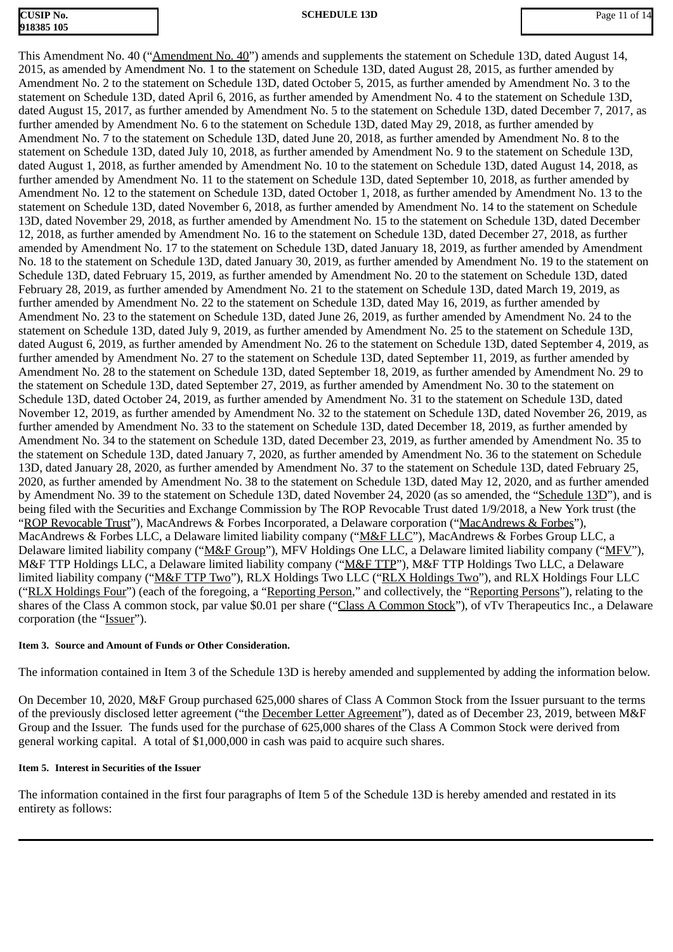# **CUSIP No. 918385 105**

This Amendment No. 40 ("Amendment No. 40") amends and supplements the statement on Schedule 13D, dated August 14, 2015, as amended by Amendment No. 1 to the statement on Schedule 13D, dated August 28, 2015, as further amended by Amendment No. 2 to the statement on Schedule 13D, dated October 5, 2015, as further amended by Amendment No. 3 to the statement on Schedule 13D, dated April 6, 2016, as further amended by Amendment No. 4 to the statement on Schedule 13D, dated August 15, 2017, as further amended by Amendment No. 5 to the statement on Schedule 13D, dated December 7, 2017, as further amended by Amendment No. 6 to the statement on Schedule 13D, dated May 29, 2018, as further amended by Amendment No. 7 to the statement on Schedule 13D, dated June 20, 2018, as further amended by Amendment No. 8 to the statement on Schedule 13D, dated July 10, 2018, as further amended by Amendment No. 9 to the statement on Schedule 13D, dated August 1, 2018, as further amended by Amendment No. 10 to the statement on Schedule 13D, dated August 14, 2018, as further amended by Amendment No. 11 to the statement on Schedule 13D, dated September 10, 2018, as further amended by Amendment No. 12 to the statement on Schedule 13D, dated October 1, 2018, as further amended by Amendment No. 13 to the statement on Schedule 13D, dated November 6, 2018, as further amended by Amendment No. 14 to the statement on Schedule 13D, dated November 29, 2018, as further amended by Amendment No. 15 to the statement on Schedule 13D, dated December 12, 2018, as further amended by Amendment No. 16 to the statement on Schedule 13D, dated December 27, 2018, as further amended by Amendment No. 17 to the statement on Schedule 13D, dated January 18, 2019, as further amended by Amendment No. 18 to the statement on Schedule 13D, dated January 30, 2019, as further amended by Amendment No. 19 to the statement on Schedule 13D, dated February 15, 2019, as further amended by Amendment No. 20 to the statement on Schedule 13D, dated February 28, 2019, as further amended by Amendment No. 21 to the statement on Schedule 13D, dated March 19, 2019, as further amended by Amendment No. 22 to the statement on Schedule 13D, dated May 16, 2019, as further amended by Amendment No. 23 to the statement on Schedule 13D, dated June 26, 2019, as further amended by Amendment No. 24 to the statement on Schedule 13D, dated July 9, 2019, as further amended by Amendment No. 25 to the statement on Schedule 13D, dated August 6, 2019, as further amended by Amendment No. 26 to the statement on Schedule 13D, dated September 4, 2019, as further amended by Amendment No. 27 to the statement on Schedule 13D, dated September 11, 2019, as further amended by Amendment No. 28 to the statement on Schedule 13D, dated September 18, 2019, as further amended by Amendment No. 29 to the statement on Schedule 13D, dated September 27, 2019, as further amended by Amendment No. 30 to the statement on Schedule 13D, dated October 24, 2019, as further amended by Amendment No. 31 to the statement on Schedule 13D, dated November 12, 2019, as further amended by Amendment No. 32 to the statement on Schedule 13D, dated November 26, 2019, as further amended by Amendment No. 33 to the statement on Schedule 13D, dated December 18, 2019, as further amended by Amendment No. 34 to the statement on Schedule 13D, dated December 23, 2019, as further amended by Amendment No. 35 to the statement on Schedule 13D, dated January 7, 2020, as further amended by Amendment No. 36 to the statement on Schedule 13D, dated January 28, 2020, as further amended by Amendment No. 37 to the statement on Schedule 13D, dated February 25, 2020, as further amended by Amendment No. 38 to the statement on Schedule 13D, dated May 12, 2020, and as further amended by Amendment No. 39 to the statement on Schedule 13D, dated November 24, 2020 (as so amended, the "Schedule 13D"), and is being filed with the Securities and Exchange Commission by The ROP Revocable Trust dated 1/9/2018, a New York trust (the "ROP Revocable Trust"), MacAndrews & Forbes Incorporated, a Delaware corporation ("MacAndrews & Forbes"), MacAndrews & Forbes LLC, a Delaware limited liability company ("M&F LLC"), MacAndrews & Forbes Group LLC, a Delaware limited liability company ("M&F Group"), MFV Holdings One LLC, a Delaware limited liability company ("MFV"), M&F TTP Holdings LLC, a Delaware limited liability company ("M&F TTP"), M&F TTP Holdings Two LLC, a Delaware limited liability company ("M&F TTP Two"), RLX Holdings Two LLC ("RLX Holdings Two"), and RLX Holdings Four LLC ("RLX Holdings Four") (each of the foregoing, a "Reporting Person," and collectively, the "Reporting Persons"), relating to the shares of the Class A common stock, par value \$0.01 per share ("Class A Common Stock"), of vTv Therapeutics Inc., a Delaware corporation (the "Issuer").

## **Item 3. Source and Amount of Funds or Other Consideration.**

The information contained in Item 3 of the Schedule 13D is hereby amended and supplemented by adding the information below.

On December 10, 2020, M&F Group purchased 625,000 shares of Class A Common Stock from the Issuer pursuant to the terms of the previously disclosed letter agreement ("the December Letter Agreement"), dated as of December 23, 2019, between M&F Group and the Issuer. The funds used for the purchase of 625,000 shares of the Class A Common Stock were derived from general working capital. A total of \$1,000,000 in cash was paid to acquire such shares.

## **Item 5. Interest in Securities of the Issuer**

The information contained in the first four paragraphs of Item 5 of the Schedule 13D is hereby amended and restated in its entirety as follows: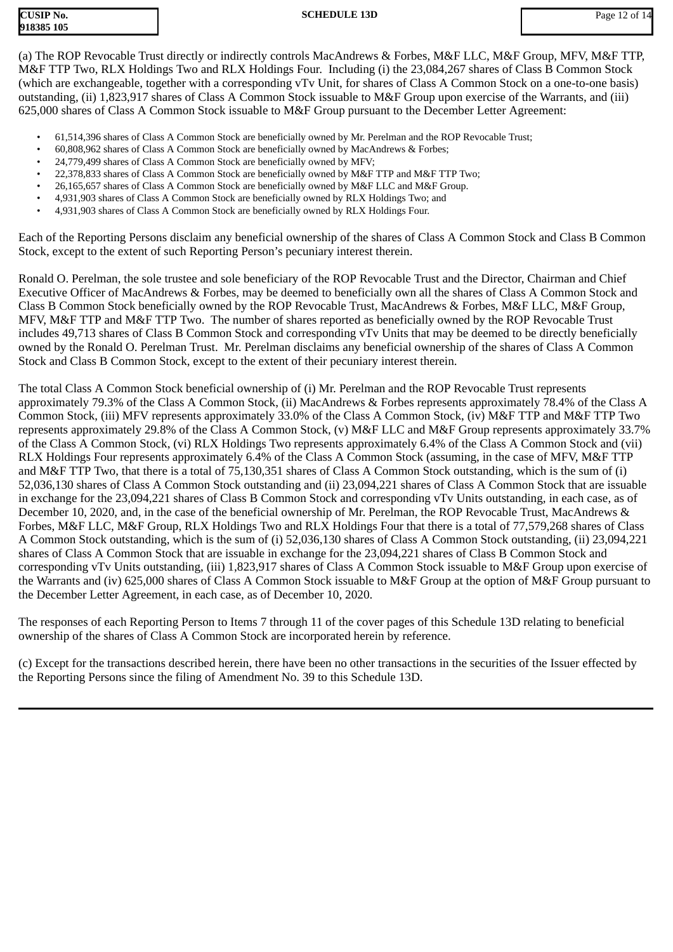| CUSIP No.  |  |
|------------|--|
| 918385 105 |  |

(a) The ROP Revocable Trust directly or indirectly controls MacAndrews & Forbes, M&F LLC, M&F Group, MFV, M&F TTP, M&F TTP Two, RLX Holdings Two and RLX Holdings Four. Including (i) the 23,084,267 shares of Class B Common Stock (which are exchangeable, together with a corresponding vTv Unit, for shares of Class A Common Stock on a one-to-one basis) outstanding, (ii) 1,823,917 shares of Class A Common Stock issuable to M&F Group upon exercise of the Warrants, and (iii) 625,000 shares of Class A Common Stock issuable to M&F Group pursuant to the December Letter Agreement:

- 61,514,396 shares of Class A Common Stock are beneficially owned by Mr. Perelman and the ROP Revocable Trust;
- 60,808,962 shares of Class A Common Stock are beneficially owned by MacAndrews & Forbes;
- 24,779,499 shares of Class A Common Stock are beneficially owned by MFV;
- 22,378,833 shares of Class A Common Stock are beneficially owned by M&F TTP and M&F TTP Two;
- 26,165,657 shares of Class A Common Stock are beneficially owned by M&F LLC and M&F Group.
- 4,931,903 shares of Class A Common Stock are beneficially owned by RLX Holdings Two; and
- 4,931,903 shares of Class A Common Stock are beneficially owned by RLX Holdings Four.

Each of the Reporting Persons disclaim any beneficial ownership of the shares of Class A Common Stock and Class B Common Stock, except to the extent of such Reporting Person's pecuniary interest therein.

Ronald O. Perelman, the sole trustee and sole beneficiary of the ROP Revocable Trust and the Director, Chairman and Chief Executive Officer of MacAndrews & Forbes, may be deemed to beneficially own all the shares of Class A Common Stock and Class B Common Stock beneficially owned by the ROP Revocable Trust, MacAndrews & Forbes, M&F LLC, M&F Group, MFV, M&F TTP and M&F TTP Two. The number of shares reported as beneficially owned by the ROP Revocable Trust includes 49,713 shares of Class B Common Stock and corresponding vTv Units that may be deemed to be directly beneficially owned by the Ronald O. Perelman Trust. Mr. Perelman disclaims any beneficial ownership of the shares of Class A Common Stock and Class B Common Stock, except to the extent of their pecuniary interest therein.

The total Class A Common Stock beneficial ownership of (i) Mr. Perelman and the ROP Revocable Trust represents approximately 79.3% of the Class A Common Stock, (ii) MacAndrews & Forbes represents approximately 78.4% of the Class A Common Stock, (iii) MFV represents approximately 33.0% of the Class A Common Stock, (iv) M&F TTP and M&F TTP Two represents approximately 29.8% of the Class A Common Stock, (v) M&F LLC and M&F Group represents approximately 33.7% of the Class A Common Stock, (vi) RLX Holdings Two represents approximately 6.4% of the Class A Common Stock and (vii) RLX Holdings Four represents approximately 6.4% of the Class A Common Stock (assuming, in the case of MFV, M&F TTP and M&F TTP Two, that there is a total of 75,130,351 shares of Class A Common Stock outstanding, which is the sum of (i) 52,036,130 shares of Class A Common Stock outstanding and (ii) 23,094,221 shares of Class A Common Stock that are issuable in exchange for the 23,094,221 shares of Class B Common Stock and corresponding vTv Units outstanding, in each case, as of December 10, 2020, and, in the case of the beneficial ownership of Mr. Perelman, the ROP Revocable Trust, MacAndrews & Forbes, M&F LLC, M&F Group, RLX Holdings Two and RLX Holdings Four that there is a total of 77,579,268 shares of Class A Common Stock outstanding, which is the sum of (i) 52,036,130 shares of Class A Common Stock outstanding, (ii) 23,094,221 shares of Class A Common Stock that are issuable in exchange for the 23,094,221 shares of Class B Common Stock and corresponding vTv Units outstanding, (iii) 1,823,917 shares of Class A Common Stock issuable to M&F Group upon exercise of the Warrants and (iv) 625,000 shares of Class A Common Stock issuable to M&F Group at the option of M&F Group pursuant to the December Letter Agreement, in each case, as of December 10, 2020.

The responses of each Reporting Person to Items 7 through 11 of the cover pages of this Schedule 13D relating to beneficial ownership of the shares of Class A Common Stock are incorporated herein by reference.

(c) Except for the transactions described herein, there have been no other transactions in the securities of the Issuer effected by the Reporting Persons since the filing of Amendment No. 39 to this Schedule 13D.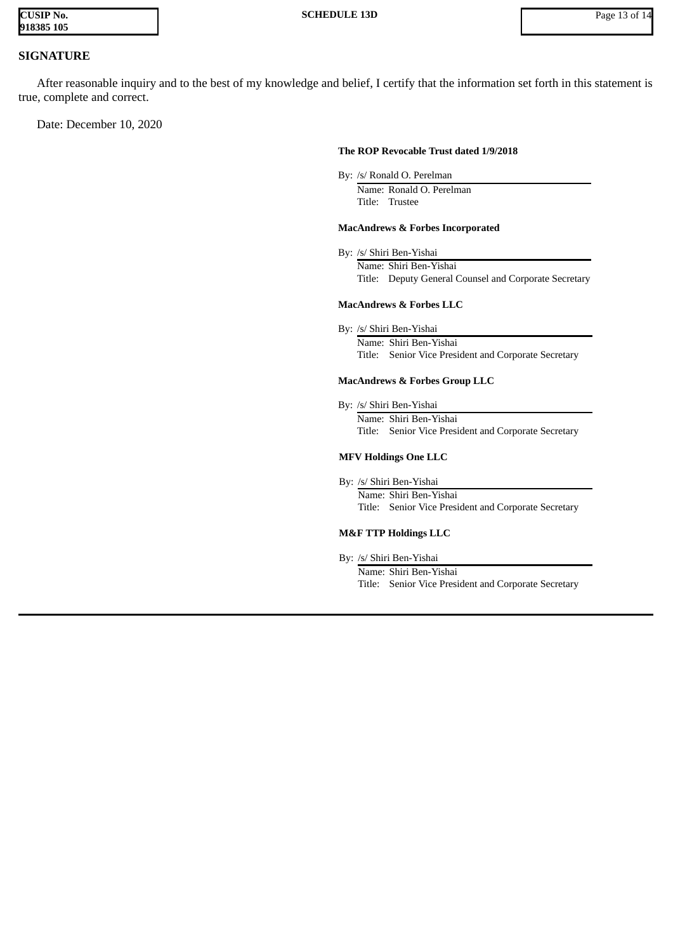| <b>CUSIP No.</b> |  |
|------------------|--|
| 918385 105       |  |

# **SIGNATURE**

After reasonable inquiry and to the best of my knowledge and belief, I certify that the information set forth in this statement is true, complete and correct.

Date: December 10, 2020

#### **The ROP Revocable Trust dated 1/9/2018**

By: /s/ Ronald O. Perelman

Name: Ronald O. Perelman Title: Trustee

#### **MacAndrews & Forbes Incorporated**

By: /s/ Shiri Ben-Yishai Name: Shiri Ben-Yishai Title: Deputy General Counsel and Corporate Secretary

#### **MacAndrews & Forbes LLC**

By: /s/ Shiri Ben-Yishai

Name: Shiri Ben-Yishai Title: Senior Vice President and Corporate Secretary

#### **MacAndrews & Forbes Group LLC**

By: /s/ Shiri Ben-Yishai Name: Shiri Ben-Yishai Title: Senior Vice President and Corporate Secretary

#### **MFV Holdings One LLC**

By: /s/ Shiri Ben-Yishai

Name: Shiri Ben-Yishai Title: Senior Vice President and Corporate Secretary

#### **M&F TTP Holdings LLC**

By: /s/ Shiri Ben-Yishai

Name: Shiri Ben-Yishai Title: Senior Vice President and Corporate Secretary